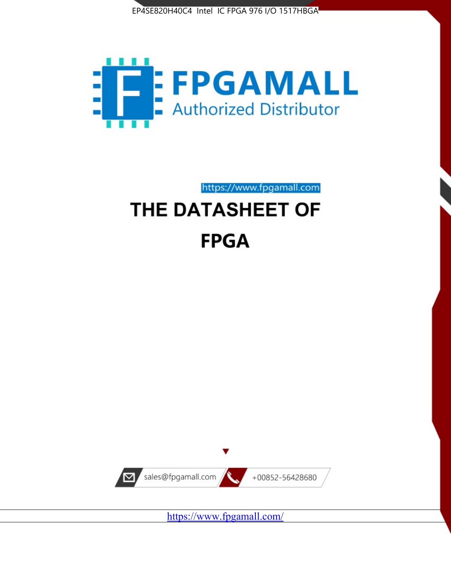



https://www.fpgamall.com THE DATASHEET OF

# **FPGA**



<https://www.fpgamall.com/>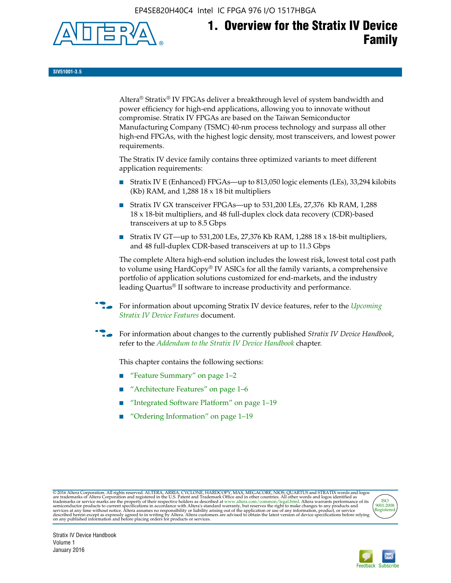EP4SE820H40C4 Intel IC FPGA 976 I/O 1517HBGA



**SIV51001-3.5**

Altera® Stratix® IV FPGAs deliver a breakthrough level of system bandwidth and power efficiency for high-end applications, allowing you to innovate without compromise. Stratix IV FPGAs are based on the Taiwan Semiconductor Manufacturing Company (TSMC) 40-nm process technology and surpass all other high-end FPGAs, with the highest logic density, most transceivers, and lowest power requirements.

The Stratix IV device family contains three optimized variants to meet different application requirements:

- Stratix IV E (Enhanced) FPGAs—up to 813,050 logic elements (LEs), 33,294 kilobits (Kb) RAM, and 1,288 18 x 18 bit multipliers
- Stratix IV GX transceiver FPGAs—up to 531,200 LEs, 27,376 Kb RAM, 1,288 18 x 18-bit multipliers, and 48 full-duplex clock data recovery (CDR)-based transceivers at up to 8.5 Gbps
- Stratix IV GT—up to 531,200 LEs, 27,376 Kb RAM, 1,288 18 x 18-bit multipliers, and 48 full-duplex CDR-based transceivers at up to 11.3 Gbps

The complete Altera high-end solution includes the lowest risk, lowest total cost path to volume using HardCopy® IV ASICs for all the family variants, a comprehensive portfolio of application solutions customized for end-markets, and the industry leading Quartus® II software to increase productivity and performance.

f For information about upcoming Stratix IV device features, refer to the *[Upcoming](http://www.altera.com/literature/hb/stratix-iv/uf01001.pdf?GSA_pos=2&WT.oss_r=1&WT.oss=upcoming)  [Stratix IV Device Features](http://www.altera.com/literature/hb/stratix-iv/uf01001.pdf?GSA_pos=2&WT.oss_r=1&WT.oss=upcoming)* document.

f For information about changes to the currently published *Stratix IV Device Handbook*, refer to the *[Addendum to the Stratix IV Device Handbook](http://www.altera.com/literature/hb/stratix-iv/stx4_siv54002.pdf)* chapter.

This chapter contains the following sections:

- "Feature Summary" on page 1–2
- "Architecture Features" on page 1–6
- "Integrated Software Platform" on page 1–19
- "Ordering Information" on page 1–19

@2016 Altera Corporation. All rights reserved. ALTERA, ARRIA, CYCLONE, HARDCOPY, MAX, MEGACORE, NIOS, QUARTUS and STRATIX words and logos are trademarks of Altera Corporation and registered in the U.S. Patent and Trademark



Stratix IV Device Handbook Volume 1 January 2016

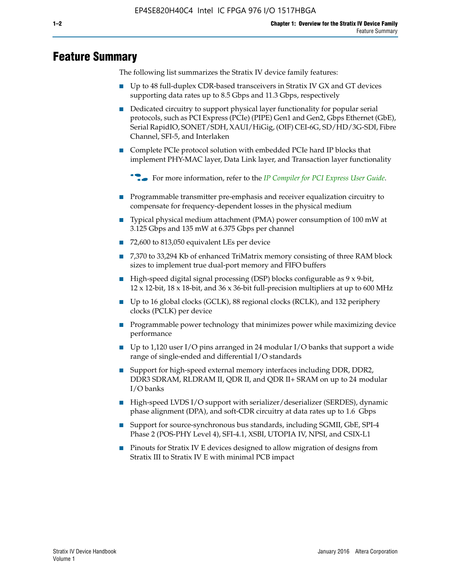# **Feature Summary**

The following list summarizes the Stratix IV device family features:

- Up to 48 full-duplex CDR-based transceivers in Stratix IV GX and GT devices supporting data rates up to 8.5 Gbps and 11.3 Gbps, respectively
- Dedicated circuitry to support physical layer functionality for popular serial protocols, such as PCI Express (PCIe) (PIPE) Gen1 and Gen2, Gbps Ethernet (GbE), Serial RapidIO, SONET/SDH, XAUI/HiGig, (OIF) CEI-6G, SD/HD/3G-SDI, Fibre Channel, SFI-5, and Interlaken
- Complete PCIe protocol solution with embedded PCIe hard IP blocks that implement PHY-MAC layer, Data Link layer, and Transaction layer functionality

**For more information, refer to the** *[IP Compiler for PCI Express User Guide](http://www.altera.com/literature/ug/ug_pci_express.pdf)***.** 

- Programmable transmitter pre-emphasis and receiver equalization circuitry to compensate for frequency-dependent losses in the physical medium
- Typical physical medium attachment (PMA) power consumption of 100 mW at 3.125 Gbps and 135 mW at 6.375 Gbps per channel
- 72,600 to 813,050 equivalent LEs per device
- 7,370 to 33,294 Kb of enhanced TriMatrix memory consisting of three RAM block sizes to implement true dual-port memory and FIFO buffers
- High-speed digital signal processing (DSP) blocks configurable as 9 x 9-bit,  $12 \times 12$ -bit,  $18 \times 18$ -bit, and  $36 \times 36$ -bit full-precision multipliers at up to 600 MHz
- Up to 16 global clocks (GCLK), 88 regional clocks (RCLK), and 132 periphery clocks (PCLK) per device
- Programmable power technology that minimizes power while maximizing device performance
- Up to 1,120 user I/O pins arranged in 24 modular I/O banks that support a wide range of single-ended and differential I/O standards
- Support for high-speed external memory interfaces including DDR, DDR2, DDR3 SDRAM, RLDRAM II, QDR II, and QDR II+ SRAM on up to 24 modular I/O banks
- High-speed LVDS I/O support with serializer/deserializer (SERDES), dynamic phase alignment (DPA), and soft-CDR circuitry at data rates up to 1.6 Gbps
- Support for source-synchronous bus standards, including SGMII, GbE, SPI-4 Phase 2 (POS-PHY Level 4), SFI-4.1, XSBI, UTOPIA IV, NPSI, and CSIX-L1
- Pinouts for Stratix IV E devices designed to allow migration of designs from Stratix III to Stratix IV E with minimal PCB impact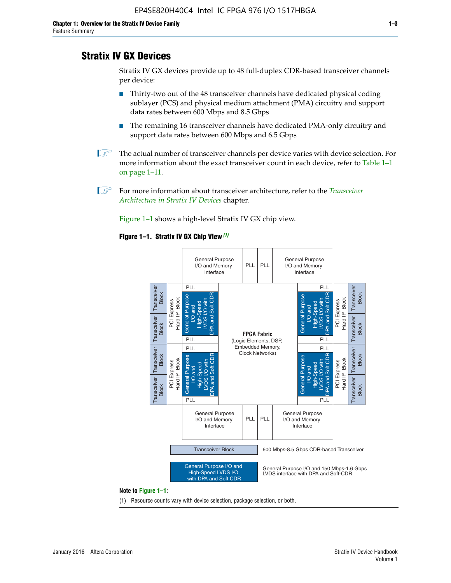# **Stratix IV GX Devices**

Stratix IV GX devices provide up to 48 full-duplex CDR-based transceiver channels per device:

- Thirty-two out of the 48 transceiver channels have dedicated physical coding sublayer (PCS) and physical medium attachment (PMA) circuitry and support data rates between 600 Mbps and 8.5 Gbps
- The remaining 16 transceiver channels have dedicated PMA-only circuitry and support data rates between 600 Mbps and 6.5 Gbps
- **1 The actual number of transceiver channels per device varies with device selection. For** more information about the exact transceiver count in each device, refer to Table 1–1 on page 1–11.
- 1 For more information about transceiver architecture, refer to the *[Transceiver](http://www.altera.com/literature/hb/stratix-iv/stx4_siv52001.pdf)  [Architecture in Stratix IV Devices](http://www.altera.com/literature/hb/stratix-iv/stx4_siv52001.pdf)* chapter.

Figure 1–1 shows a high-level Stratix IV GX chip view.

#### **Figure 1–1. Stratix IV GX Chip View** *(1)*



#### **Note to Figure 1–1:**

(1) Resource counts vary with device selection, package selection, or both.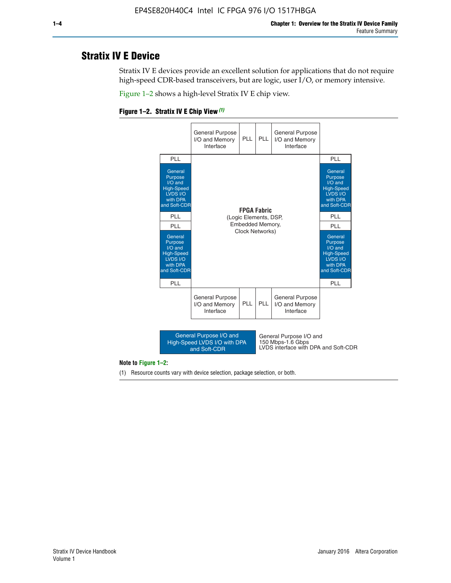# **Stratix IV E Device**

Stratix IV E devices provide an excellent solution for applications that do not require high-speed CDR-based transceivers, but are logic, user I/O, or memory intensive.

Figure 1–2 shows a high-level Stratix IV E chip view.





#### **Note to Figure 1–2:**

(1) Resource counts vary with device selection, package selection, or both.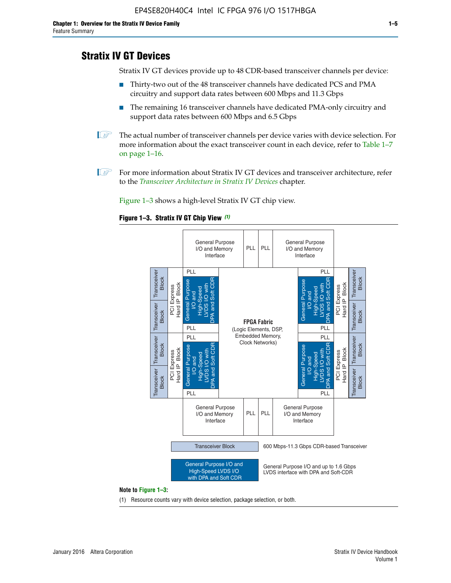# **Stratix IV GT Devices**

Stratix IV GT devices provide up to 48 CDR-based transceiver channels per device:

- Thirty-two out of the 48 transceiver channels have dedicated PCS and PMA circuitry and support data rates between 600 Mbps and 11.3 Gbps
- The remaining 16 transceiver channels have dedicated PMA-only circuitry and support data rates between 600 Mbps and 6.5 Gbps
- **1** The actual number of transceiver channels per device varies with device selection. For more information about the exact transceiver count in each device, refer to Table 1–7 on page 1–16.
- $\mathbb{I}$  For more information about Stratix IV GT devices and transceiver architecture, refer to the *[Transceiver Architecture in Stratix IV Devices](http://www.altera.com/literature/hb/stratix-iv/stx4_siv52001.pdf)* chapter.

Figure 1–3 shows a high-level Stratix IV GT chip view.





(1) Resource counts vary with device selection, package selection, or both.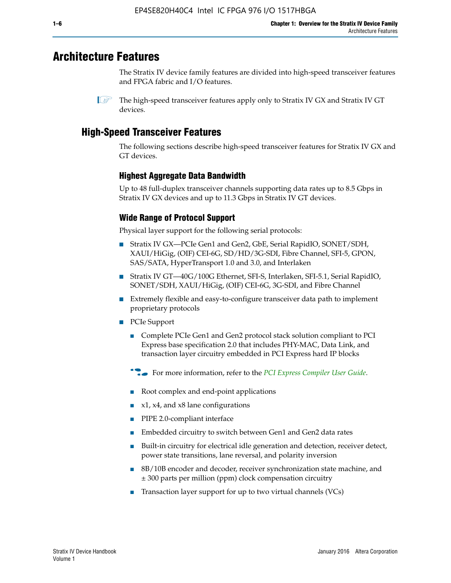# **Architecture Features**

The Stratix IV device family features are divided into high-speed transceiver features and FPGA fabric and I/O features.

 $\mathbb{I}$  The high-speed transceiver features apply only to Stratix IV GX and Stratix IV GT devices.

# **High-Speed Transceiver Features**

The following sections describe high-speed transceiver features for Stratix IV GX and GT devices.

## **Highest Aggregate Data Bandwidth**

Up to 48 full-duplex transceiver channels supporting data rates up to 8.5 Gbps in Stratix IV GX devices and up to 11.3 Gbps in Stratix IV GT devices.

## **Wide Range of Protocol Support**

Physical layer support for the following serial protocols:

- Stratix IV GX—PCIe Gen1 and Gen2, GbE, Serial RapidIO, SONET/SDH, XAUI/HiGig, (OIF) CEI-6G, SD/HD/3G-SDI, Fibre Channel, SFI-5, GPON, SAS/SATA, HyperTransport 1.0 and 3.0, and Interlaken
- Stratix IV GT—40G/100G Ethernet, SFI-S, Interlaken, SFI-5.1, Serial RapidIO, SONET/SDH, XAUI/HiGig, (OIF) CEI-6G, 3G-SDI, and Fibre Channel
- Extremely flexible and easy-to-configure transceiver data path to implement proprietary protocols
- PCIe Support
	- Complete PCIe Gen1 and Gen2 protocol stack solution compliant to PCI Express base specification 2.0 that includes PHY-MAC, Data Link, and transaction layer circuitry embedded in PCI Express hard IP blocks
	- **For more information, refer to the [PCI Express Compiler User Guide](http://www.altera.com/literature/ug/ug_pci_express.pdf).**
	- Root complex and end-point applications
	- $x1, x4,$  and  $x8$  lane configurations
	- PIPE 2.0-compliant interface
	- Embedded circuitry to switch between Gen1 and Gen2 data rates
	- Built-in circuitry for electrical idle generation and detection, receiver detect, power state transitions, lane reversal, and polarity inversion
	- 8B/10B encoder and decoder, receiver synchronization state machine, and ± 300 parts per million (ppm) clock compensation circuitry
	- Transaction layer support for up to two virtual channels (VCs)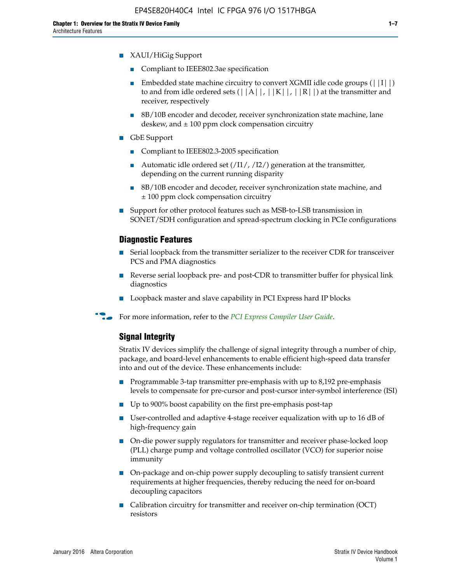- XAUI/HiGig Support
	- Compliant to IEEE802.3ae specification
	- **■** Embedded state machine circuitry to convert XGMII idle code groups  $(|11|)$ to and from idle ordered sets  $(|A|, |K|, |R|)$  at the transmitter and receiver, respectively
	- 8B/10B encoder and decoder, receiver synchronization state machine, lane deskew, and  $\pm 100$  ppm clock compensation circuitry
- GbE Support
	- Compliant to IEEE802.3-2005 specification
	- Automatic idle ordered set  $(111/112/1)$  generation at the transmitter, depending on the current running disparity
	- 8B/10B encoder and decoder, receiver synchronization state machine, and ± 100 ppm clock compensation circuitry
- Support for other protocol features such as MSB-to-LSB transmission in SONET/SDH configuration and spread-spectrum clocking in PCIe configurations

#### **Diagnostic Features**

- Serial loopback from the transmitter serializer to the receiver CDR for transceiver PCS and PMA diagnostics
- Reverse serial loopback pre- and post-CDR to transmitter buffer for physical link diagnostics
- Loopback master and slave capability in PCI Express hard IP blocks
- **For more information, refer to the** *[PCI Express Compiler User Guide](http://www.altera.com/literature/ug/ug_pci_express.pdf)***.**

#### **Signal Integrity**

Stratix IV devices simplify the challenge of signal integrity through a number of chip, package, and board-level enhancements to enable efficient high-speed data transfer into and out of the device. These enhancements include:

- Programmable 3-tap transmitter pre-emphasis with up to 8,192 pre-emphasis levels to compensate for pre-cursor and post-cursor inter-symbol interference (ISI)
- Up to 900% boost capability on the first pre-emphasis post-tap
- User-controlled and adaptive 4-stage receiver equalization with up to 16 dB of high-frequency gain
- On-die power supply regulators for transmitter and receiver phase-locked loop (PLL) charge pump and voltage controlled oscillator (VCO) for superior noise immunity
- On-package and on-chip power supply decoupling to satisfy transient current requirements at higher frequencies, thereby reducing the need for on-board decoupling capacitors
- Calibration circuitry for transmitter and receiver on-chip termination (OCT) resistors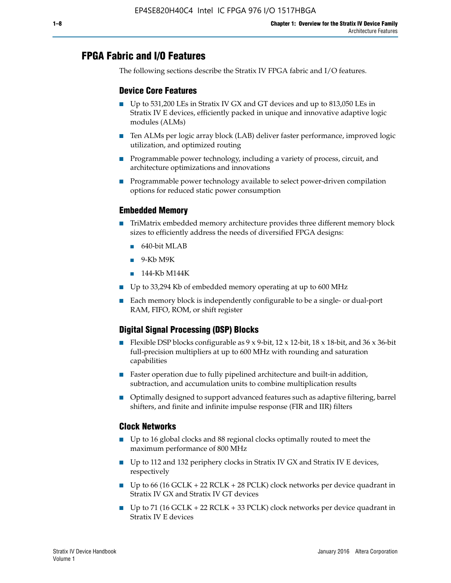# **FPGA Fabric and I/O Features**

The following sections describe the Stratix IV FPGA fabric and I/O features.

### **Device Core Features**

- Up to 531,200 LEs in Stratix IV GX and GT devices and up to 813,050 LEs in Stratix IV E devices, efficiently packed in unique and innovative adaptive logic modules (ALMs)
- Ten ALMs per logic array block (LAB) deliver faster performance, improved logic utilization, and optimized routing
- Programmable power technology, including a variety of process, circuit, and architecture optimizations and innovations
- Programmable power technology available to select power-driven compilation options for reduced static power consumption

#### **Embedded Memory**

- TriMatrix embedded memory architecture provides three different memory block sizes to efficiently address the needs of diversified FPGA designs:
	- 640-bit MLAB
	- 9-Kb M9K
	- 144-Kb M144K
- Up to 33,294 Kb of embedded memory operating at up to 600 MHz
- Each memory block is independently configurable to be a single- or dual-port RAM, FIFO, ROM, or shift register

## **Digital Signal Processing (DSP) Blocks**

- Flexible DSP blocks configurable as  $9 \times 9$ -bit,  $12 \times 12$ -bit,  $18 \times 18$ -bit, and  $36 \times 36$ -bit full-precision multipliers at up to 600 MHz with rounding and saturation capabilities
- Faster operation due to fully pipelined architecture and built-in addition, subtraction, and accumulation units to combine multiplication results
- Optimally designed to support advanced features such as adaptive filtering, barrel shifters, and finite and infinite impulse response (FIR and IIR) filters

#### **Clock Networks**

- Up to 16 global clocks and 88 regional clocks optimally routed to meet the maximum performance of 800 MHz
- Up to 112 and 132 periphery clocks in Stratix IV GX and Stratix IV E devices, respectively
- Up to 66 (16 GCLK + 22 RCLK + 28 PCLK) clock networks per device quadrant in Stratix IV GX and Stratix IV GT devices
- Up to 71 (16 GCLK + 22 RCLK + 33 PCLK) clock networks per device quadrant in Stratix IV E devices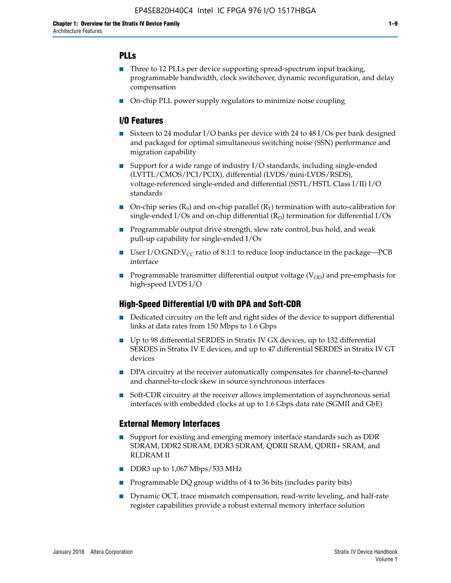## **PLLs**

- Three to 12 PLLs per device supporting spread-spectrum input tracking, programmable bandwidth, clock switchover, dynamic reconfiguration, and delay compensation
- On-chip PLL power supply regulators to minimize noise coupling

#### **I/O Features**

- Sixteen to 24 modular I/O banks per device with 24 to 48 I/Os per bank designed and packaged for optimal simultaneous switching noise (SSN) performance and migration capability
- Support for a wide range of industry I/O standards, including single-ended (LVTTL/CMOS/PCI/PCIX), differential (LVDS/mini-LVDS/RSDS), voltage-referenced single-ended and differential (SSTL/HSTL Class I/II) I/O standards
- **O**n-chip series  $(R_S)$  and on-chip parallel  $(R_T)$  termination with auto-calibration for single-ended I/Os and on-chip differential  $(R_D)$  termination for differential I/Os
- Programmable output drive strength, slew rate control, bus hold, and weak pull-up capability for single-ended I/Os
- User I/O:GND: $V_{CC}$  ratio of 8:1:1 to reduce loop inductance in the package—PCB interface
- **■** Programmable transmitter differential output voltage ( $V_{OD}$ ) and pre-emphasis for high-speed LVDS I/O

#### **High-Speed Differential I/O with DPA and Soft-CDR**

- Dedicated circuitry on the left and right sides of the device to support differential links at data rates from 150 Mbps to 1.6 Gbps
- Up to 98 differential SERDES in Stratix IV GX devices, up to 132 differential SERDES in Stratix IV E devices, and up to 47 differential SERDES in Stratix IV GT devices
- DPA circuitry at the receiver automatically compensates for channel-to-channel and channel-to-clock skew in source synchronous interfaces
- Soft-CDR circuitry at the receiver allows implementation of asynchronous serial interfaces with embedded clocks at up to 1.6 Gbps data rate (SGMII and GbE)

#### **External Memory Interfaces**

- Support for existing and emerging memory interface standards such as DDR SDRAM, DDR2 SDRAM, DDR3 SDRAM, QDRII SRAM, QDRII+ SRAM, and RLDRAM II
- DDR3 up to 1,067 Mbps/533 MHz
- Programmable DQ group widths of 4 to 36 bits (includes parity bits)
- Dynamic OCT, trace mismatch compensation, read-write leveling, and half-rate register capabilities provide a robust external memory interface solution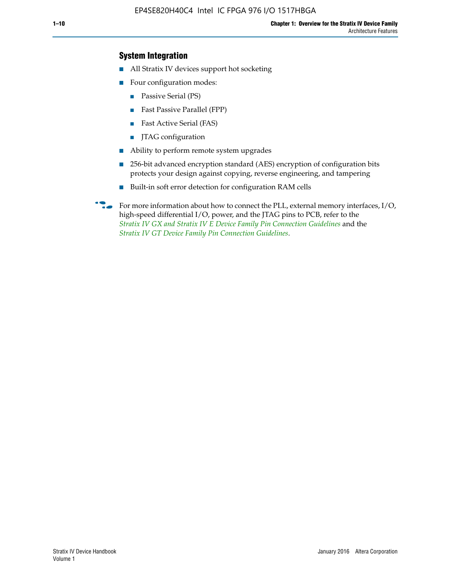## **System Integration**

- All Stratix IV devices support hot socketing
- Four configuration modes:
	- Passive Serial (PS)
	- Fast Passive Parallel (FPP)
	- Fast Active Serial (FAS)
	- JTAG configuration
- Ability to perform remote system upgrades
- 256-bit advanced encryption standard (AES) encryption of configuration bits protects your design against copying, reverse engineering, and tampering
- Built-in soft error detection for configuration RAM cells
- For more information about how to connect the PLL, external memory interfaces,  $I/O$ , high-speed differential I/O, power, and the JTAG pins to PCB, refer to the *[Stratix IV GX and Stratix IV E Device Family Pin Connection Guidelines](http://www.altera.com/literature/dp/stratix4/PCG-01005.pdf)* and the *[Stratix IV GT Device Family Pin Connection Guidelines](http://www.altera.com/literature/dp/stratix4/PCG-01006.pdf)*.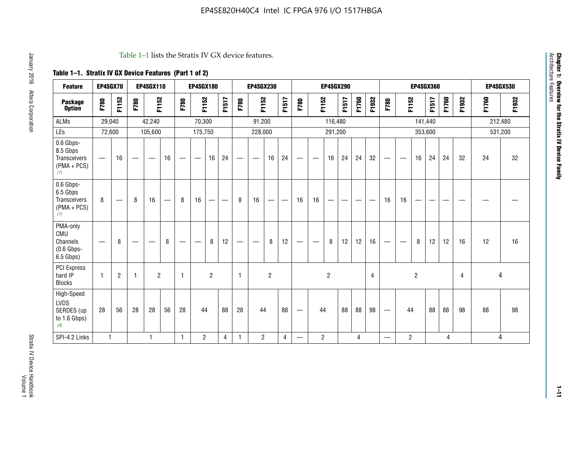#### Table 1–1 lists the Stratix IV GX device features.

## **Table 1–1. Stratix IV GX Device Features (Part 1 of 2)**

| <b>Feature</b>                                                 | EP4SGX70                 |                |                                  | <b>EP4SGX110</b>  |    |                                | <b>EP4SGX180</b>               |                |       |              | <b>EP4SGX230</b>         |                |       |                   |                | <b>EP4SGX290</b> |       |       |                |                                 |                   | <b>EP4SGX360</b> |         |       |       |         | <b>EP4SGX530</b> |
|----------------------------------------------------------------|--------------------------|----------------|----------------------------------|-------------------|----|--------------------------------|--------------------------------|----------------|-------|--------------|--------------------------|----------------|-------|-------------------|----------------|------------------|-------|-------|----------------|---------------------------------|-------------------|------------------|---------|-------|-------|---------|------------------|
| <b>Package</b><br><b>Option</b>                                | F780                     | F1152          | F780                             | F1152             |    | F780                           | F1152                          |                | F1517 | F780         | F1152                    |                | F1517 | F780              | F1152          |                  | F1517 | F1760 | F1932          | F780                            | F1152             |                  | F1517   | F1760 | F1932 | F1760   | F1932            |
| <b>ALMs</b>                                                    | 29,040                   |                |                                  | 42,240            |    |                                | 70,300                         |                |       |              | 91,200                   |                |       |                   |                | 116,480          |       |       |                |                                 |                   |                  | 141,440 |       |       | 212,480 |                  |
| LEs                                                            | 72,600                   |                |                                  | 105,600           |    |                                | 175,750                        |                |       |              | 228,000                  |                |       |                   |                | 291,200          |       |       |                |                                 |                   |                  | 353,600 |       |       |         | 531,200          |
| 0.6 Gbps-<br>8.5 Gbps<br>Transceivers<br>$(PMA + PCs)$<br>(1)  | $\overline{\phantom{0}}$ | 16             | $\hspace{0.05cm}$                | $\hspace{0.05cm}$ | 16 | $\qquad \qquad \longleftarrow$ | $\hspace{0.05cm}$              | 16             | 24    |              | $\overline{\phantom{a}}$ | 16             | 24    | —                 |                | 16               | 24    | 24    | 32             | $\overline{\phantom{0}}$        | $\hspace{0.05cm}$ | 16               | 24      | 24    | 32    | 24      | 32               |
| 0.6 Gbps-<br>6.5 Gbps<br>Transceivers<br>$(PMA + PCs)$<br>(1)  | 8                        |                | 8                                | 16                |    | 8                              | 16                             | ÷              |       | 8            | 16                       | —              |       | 16                | 16             |                  |       |       |                | 16                              | 16                |                  |         |       |       |         |                  |
| PMA-only<br>CMU<br>Channels<br>$(0.6$ Gbps-<br>6.5 Gbps)       | $\overline{\phantom{0}}$ | 8              | $\overbrace{\phantom{12322111}}$ |                   | 8  | $\qquad \qquad \longleftarrow$ | $\qquad \qquad \longleftarrow$ | 8              | 12    |              |                          | 8              | 12    | $\hspace{0.05cm}$ |                | 8                | 12    | 12    | 16             | $\overline{\phantom{0}}$        | $\hspace{0.05cm}$ | 8                | 12      | 12    | 16    | 12      | 16               |
| <b>PCI Express</b><br>hard IP<br><b>Blocks</b>                 | $\mathbf{1}$             | $\overline{2}$ | $\mathbf 1$                      | $\overline{2}$    |    | $\mathbf{1}$                   |                                | $\overline{2}$ |       | $\mathbf{1}$ |                          | $\overline{c}$ |       |                   |                | $\overline{c}$   |       |       | $\overline{4}$ |                                 |                   | $\overline{2}$   |         |       | 4     |         | 4                |
| High-Speed<br><b>LVDS</b><br>SERDES (up<br>to 1.6 Gbps)<br>(4) | 28                       | 56             | 28                               | 28                | 56 | 28                             | 44                             |                | 88    | 28           | 44                       |                | 88    | —                 | 44             |                  | 88    | 88    | 98             | $\hspace{0.1mm}-\hspace{0.1mm}$ | 44                |                  | 88      | 88    | 98    | 88      | 98               |
| SPI-4.2 Links                                                  | $\mathbf{1}$             |                |                                  | 1                 |    | $\mathbf{1}$                   | $\overline{c}$                 |                | 4     | 1            | $\overline{c}$           |                | 4     | —                 | $\overline{2}$ |                  |       | 4     |                | $\overline{\phantom{0}}$        | $\overline{2}$    |                  |         | 4     |       |         | 4                |

Architecture Features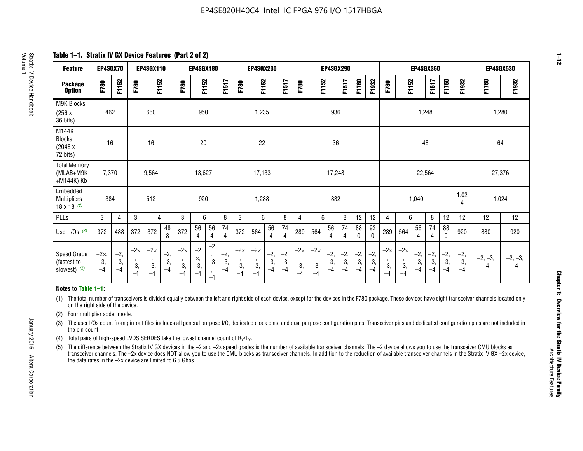**Table 1–1. Stratix IV GX Device Features (Part 2 of 2)**

| <b>Feature</b>                                       | EP4SGX70                |                        |                             | <b>EP4SGX110</b>            |                        |                             | EP4SGX180                   |                                 |                        |                                        | EP4SGX230                   |                        |                        |                             |                                        | EP4SGX290              |                        |                        |                        |                             |                             |                        | EP4SGX360           |                        |                        | <b>EP4SGX530</b>  |                   |
|------------------------------------------------------|-------------------------|------------------------|-----------------------------|-----------------------------|------------------------|-----------------------------|-----------------------------|---------------------------------|------------------------|----------------------------------------|-----------------------------|------------------------|------------------------|-----------------------------|----------------------------------------|------------------------|------------------------|------------------------|------------------------|-----------------------------|-----------------------------|------------------------|---------------------|------------------------|------------------------|-------------------|-------------------|
| <b>Package</b><br><b>Option</b>                      | F780                    | F1152                  | F780                        | F1152                       |                        | F780                        | F1152                       |                                 | F1517                  | F780                                   | F1152                       |                        | F1517                  | F780                        | F1152                                  |                        | F1517                  | F1760                  | F1932                  | F780                        | F1152                       |                        | F1517               | F1760                  | F1932                  | F1760             | F1932             |
| M9K Blocks<br>(256x)<br>36 bits)                     | 462                     |                        |                             | 660                         |                        |                             | 950                         |                                 |                        |                                        | 1,235                       |                        |                        |                             |                                        | 936                    |                        |                        |                        |                             |                             | 1,248                  |                     |                        |                        | 1,280             |                   |
| M144K<br>Blocks<br>(2048 x)<br>72 bits)              | 16                      |                        |                             | 16                          |                        |                             | 20                          |                                 |                        |                                        | 22                          |                        |                        |                             |                                        | 36                     |                        |                        |                        |                             |                             | 48                     |                     |                        |                        | 64                |                   |
| <b>Total Memory</b><br>(MLAB+M9K<br>+M144K) Kb       | 7,370                   |                        |                             | 9,564                       |                        |                             | 13,627                      |                                 |                        |                                        | 17,133                      |                        |                        |                             |                                        | 17,248                 |                        |                        |                        |                             |                             | 22,564                 |                     |                        |                        | 27,376            |                   |
| Embedded<br><b>Multipliers</b><br>$18 \times 18$ (2) | 384                     |                        |                             | 512                         |                        |                             | 920                         |                                 |                        |                                        | 1,288                       |                        |                        |                             |                                        | 832                    |                        |                        |                        |                             |                             | 1,040                  |                     |                        | 1,02<br>4              | 1,024             |                   |
| PLLs                                                 | 3                       | 4                      | 3                           | 4                           |                        | 3                           | 6                           |                                 | 8                      | 3                                      | 6                           |                        | 8                      | 4                           | 6                                      |                        | 8                      | 12                     | 12                     | 4                           | 6                           |                        | 8                   | 12                     | 12                     | 12                | 12                |
| User I/Os $(3)$                                      | 372                     | 488                    | 372                         | 372                         | 48<br>8                | 372                         | 56<br>$\overline{4}$        | 56<br>4                         | 74<br>4                | 372                                    | 564                         | 56<br>$\overline{4}$   | 74<br>$\overline{4}$   | 289                         | 564                                    | 56<br>4                | 74<br>4                | 88<br>0                | 92<br>$\mathbf 0$      | 289                         | 564                         | 56<br>$\overline{4}$   | 74<br>4             | 88<br>$\mathbf{0}$     | 920                    | 880               | 920               |
| Speed Grade<br>(fastest to<br>slowest) (5)           | $-2x,$<br>$-3,$<br>$-4$ | $-2,$<br>$-3,$<br>$-4$ | $-2\times$<br>$-3,$<br>$-4$ | $-2\times$<br>$-3,$<br>$-4$ | $-2,$<br>$-3,$<br>$-4$ | $-2\times$<br>$-3,$<br>$-4$ | $-2$<br>×,<br>$-3,$<br>$-4$ | $-2$<br>$-3$<br>$\cdot$<br>$-4$ | $-2,$<br>$-3,$<br>$-4$ | $-2\times$<br>$\cdot$<br>$-3,$<br>$-4$ | $-2\times$<br>$-3,$<br>$-4$ | $-2,$<br>$-3,$<br>$-4$ | $-2,$<br>$-3,$<br>$-4$ | $-2\times$<br>$-3,$<br>$-4$ | $-2\times$<br>$\cdot$<br>$-3,$<br>$-4$ | $-2,$<br>$-3,$<br>$-4$ | $-2,$<br>$-3,$<br>$-4$ | $-2,$<br>$-3,$<br>$-4$ | $-2,$<br>$-3,$<br>$-4$ | $-2\times$<br>$-3,$<br>$-4$ | $-2\times$<br>$-3,$<br>$-4$ | $-2,$<br>$-3,$<br>$-4$ | $-2,$<br>$-3$<br>-4 | $-2,$<br>$-3,$<br>$-4$ | $-2,$<br>$-3,$<br>$-4$ | $-2, -3,$<br>$-4$ | $-2, -3,$<br>$-4$ |

#### **Notes to Table 1–1:**

(1) The total number of transceivers is divided equally between the left and right side of each device, except for the devices in the F780 package. These devices have eight transceiver channels located only on the right side of the device.

(2) Four multiplier adder mode.

(3) The user I/Os count from pin-out files includes all general purpose I/O, dedicated clock pins, and dual purpose configuration pins. Transceiver pins and dedicated configuration pins are not included in the pin count.

- (4) Total pairs of high-speed LVDS SERDES take the lowest channel count of  $R_X/T_X$ .
- (5) The difference between the Stratix IV GX devices in the –2 and –2x speed grades is the number of available transceiver channels. The –2 device allows you to use the transceiver CMU blocks as transceiver channels. The –2x device does NOT allow you to use the CMU blocks as transceiver channels. In addition to the reduction of available transceiver channels in the Stratix IV GX –2x device, the data rates in the –2x device are limited to 6.5 Gbps.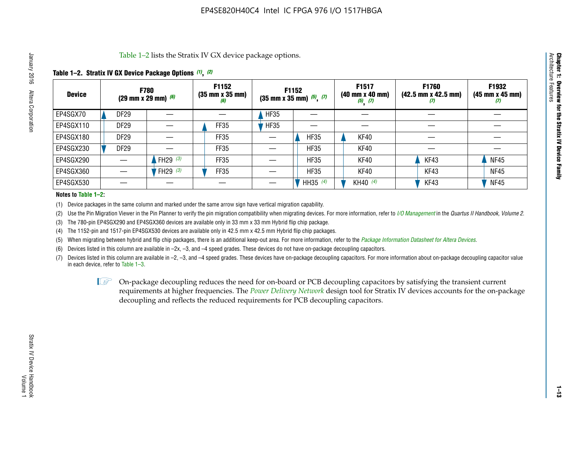Table 1–2 lists the Stratix IV GX device package options.

#### **Table 1–2. Stratix IV GX Device Package Options** *(1)***,** *(2)*

| <b>Device</b> |                  | <b>F780</b><br>$(29 \text{ mm} \times 29 \text{ mm})$ (6) | F1152<br>$(35 \, \text{mm} \times 35 \, \text{mm})$<br>(6) |             | <b>F1152</b><br>$(35$ mm x 35 mm) $(5)$ , $(7)$ | F1517<br>(40 mm x 40 mm)<br>$(5)$ $(7)$ | F1760<br>$(42.5 \text{ mm} \times 42.5 \text{ mm})$<br>Ш | F1932<br>$(45 \, \text{mm} \times 45 \, \text{mm})$<br>(7) |
|---------------|------------------|-----------------------------------------------------------|------------------------------------------------------------|-------------|-------------------------------------------------|-----------------------------------------|----------------------------------------------------------|------------------------------------------------------------|
| EP4SGX70      | <b>DF29</b>      |                                                           |                                                            | <b>HF35</b> |                                                 |                                         |                                                          |                                                            |
| EP4SGX110     | DF <sub>29</sub> |                                                           | FF35                                                       | <b>HF35</b> |                                                 |                                         |                                                          |                                                            |
| EP4SGX180     | <b>DF29</b>      |                                                           | FF35                                                       |             | <b>HF35</b>                                     | KF40                                    |                                                          |                                                            |
| EP4SGX230     | <b>DF29</b>      |                                                           | FF35                                                       |             | <b>HF35</b>                                     | KF40                                    |                                                          |                                                            |
| EP4SGX290     |                  | FH29 $(3)$                                                | <b>FF35</b>                                                |             | <b>HF35</b>                                     | KF40                                    | KF43                                                     | <b>NF45</b>                                                |
| EP4SGX360     |                  | FH29 $(3)$                                                | <b>FF35</b>                                                |             | <b>HF35</b>                                     | KF40                                    | KF43                                                     | <b>NF45</b>                                                |
| EP4SGX530     |                  |                                                           |                                                            |             | HH35 (4)                                        | KH40 (4)                                | KF43                                                     | <b>NF45</b>                                                |

#### **Notes to Table 1–2:**

(1) Device packages in the same column and marked under the same arrow sign have vertical migration capability.

(2) Use the Pin Migration Viewer in the Pin Planner to verify the pin migration compatibility when migrating devices. For more information, refer to *[I/O Management](http://www.altera.com/literature/hb/qts/qts_qii52013.pdf)* in the *Quartus II Handbook, Volume 2*.

(3) The 780-pin EP4SGX290 and EP4SGX360 devices are available only in 33 mm x 33 mm Hybrid flip chip package.

(4) The 1152-pin and 1517-pin EP4SGX530 devices are available only in 42.5 mm x 42.5 mm Hybrid flip chip packages.

(5) When migrating between hybrid and flip chip packages, there is an additional keep-out area. For more information, refer to the *[Package Information Datasheet for Altera Devices](http://www.altera.com/literature/ds/dspkg.pdf)*.

(6) Devices listed in this column are available in –2x, –3, and –4 speed grades. These devices do not have on-package decoupling capacitors.

(7) Devices listed in this column are available in –2, –3, and –4 speed grades. These devices have on-package decoupling capacitors. For more information about on-package decoupling capacitor value in each device, refer to Table 1–3.

 $\mathbb{L}$ s On-package decoupling reduces the need for on-board or PCB decoupling capacitors by satisfying the transient current requirements at higher frequencies. The *[Power Delivery Network](http://www.altera.com/literature/ug/pdn_tool_stxiv.zip)* design tool for Stratix IV devices accounts for the on-package decoupling and reflects the reduced requirements for PCB decoupling capacitors.

**Chapter 1: Overview for the Stratix IV Device Family**

Chapter 1: Overview for the Stratix IV Device Family<br>Architecture Features

Architecture Features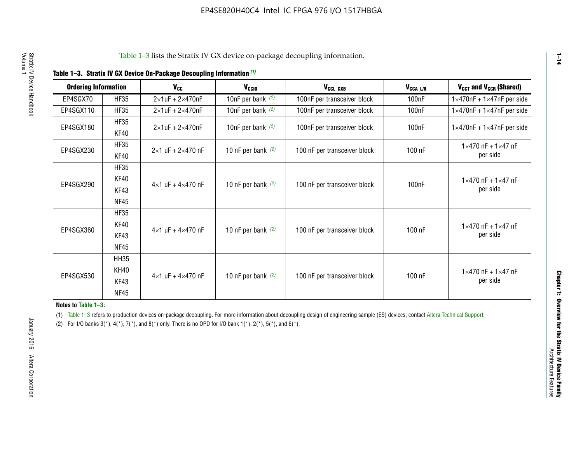| <b>Ordering Information</b> |                            | <b>V<sub>cc</sub></b>               | V <sub>ccio</sub>    | V <sub>CCL GXB</sub>         | V <sub>CCA_L/R</sub> | V <sub>CCT</sub> and V <sub>CCR</sub> (Shared)   |
|-----------------------------|----------------------------|-------------------------------------|----------------------|------------------------------|----------------------|--------------------------------------------------|
| EP4SGX70                    | <b>HF35</b>                | $2\times1$ uF + $2\times470$ nF     | 10nF per bank $(2)$  | 100nF per transceiver block  | 100 <sub>n</sub> F   | $1 \times 470$ nF + $1 \times 47$ nF per side    |
| EP4SGX110                   | <b>HF35</b>                | $2\times1$ uF + $2\times470$ nF     | 10nF per bank $(2)$  | 100nF per transceiver block  | 100 <sub>n</sub> F   | $1\times470$ nF + $1\times47$ nF per side        |
| EP4SGX180                   | <b>HF35</b><br>KF40        | $2\times1$ uF + $2\times470$ nF     | 10nF per bank $(2)$  | 100nF per transceiver block  | 100 <sub>nF</sub>    | $1 \times 470$ nF + $1 \times 47$ nF per side    |
| EP4SGX230                   | <b>HF35</b><br>KF40        | $2 \times 1$ uF + $2 \times 470$ nF | 10 nF per bank $(2)$ | 100 nF per transceiver block | 100 nF               | $1 \times 470$ nF + $1 \times 47$ nF<br>per side |
| EP4SGX290                   | <b>HF35</b><br><b>KF40</b> |                                     |                      |                              |                      | $1 \times 470$ nF + $1 \times 47$ nF             |
|                             | KF43<br><b>NF45</b>        | $4 \times 1$ uF + $4 \times 470$ nF | 10 nF per bank $(2)$ | 100 nF per transceiver block | 100nF                | per side                                         |
|                             | <b>HF35</b><br>KF40        |                                     |                      |                              |                      | $1 \times 470$ nF + $1 \times 47$ nF             |
| EP4SGX360                   | KF43<br><b>NF45</b>        | $4 \times 1$ uF + $4 \times 470$ nF | 10 nF per bank $(2)$ | 100 nF per transceiver block | 100 nF               | per side                                         |
|                             | <b>HH35</b>                |                                     |                      |                              |                      |                                                  |
| EP4SGX530                   | <b>KH40</b><br>KF43        | $4 \times 1$ uF + $4 \times 470$ nF | 10 nF per bank $(2)$ | 100 nF per transceiver block | 100 nF               | $1 \times 470$ nF + $1 \times 47$ nF<br>per side |
|                             | <b>NF45</b>                |                                     |                      |                              |                      |                                                  |

**Notes to Table 1–3:**

(1) Table 1-3 refers to production devices on-package decoupling. For more information about decoupling design of engineering sample (ES) devices, contact [Altera Technical Support](http://mysupport.altera.com/eservice/login.asp).

(2) For I/O banks  $3(*)$ ,  $4(*)$ ,  $7(*)$ , and  $8(*)$  only. There is no OPD for I/O bank  $1(*)$ ,  $2(*)$ ,  $5(*)$ , and  $6(*)$ .

**1–14**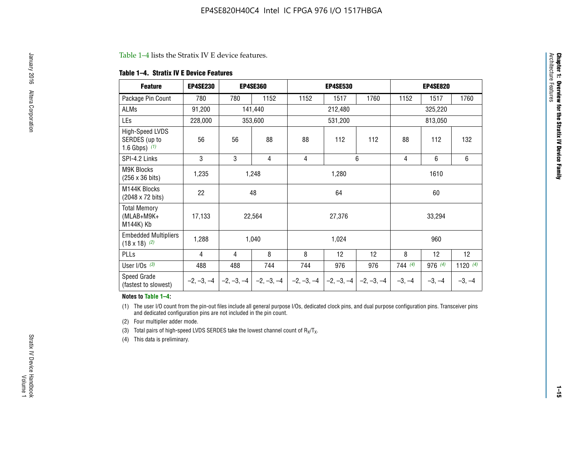#### Table 1–4 lists the Stratix IV E device features.

#### **Table 1–4. Stratix IV E Device Features**

| <b>Feature</b>                                      | <b>EP4SE230</b> |     | <b>EP4SE360</b>                        |              | <b>EP4SE530</b> |              |          | <b>EP4SE820</b> |            |  |
|-----------------------------------------------------|-----------------|-----|----------------------------------------|--------------|-----------------|--------------|----------|-----------------|------------|--|
| Package Pin Count                                   | 780             | 780 | 1152                                   | 1152         | 1517            | 1760         | 1152     | 1517            | 1760       |  |
| ALMs                                                | 91,200          |     | 141,440                                |              | 212,480         |              |          | 325,220         |            |  |
| LEs                                                 | 228,000         |     | 353,600                                |              | 531,200         |              |          | 813,050         |            |  |
| High-Speed LVDS<br>SERDES (up to<br>1.6 Gbps) $(1)$ | 56              | 56  | 88                                     | 88           | 112             | 112          | 88       | 112             | 132        |  |
| SPI-4.2 Links                                       | 3               | 3   | 4                                      | 4            |                 | 6            | 4        | 6               | 6          |  |
| <b>M9K Blocks</b><br>(256 x 36 bits)                | 1,235           |     | 1,248                                  |              | 1,280           |              |          | 1610            |            |  |
| M144K Blocks<br>(2048 x 72 bits)                    | 22              |     | 48                                     |              | 64              |              | 60       |                 |            |  |
| <b>Total Memory</b><br>$(MLAB+M9K+$<br>M144K) Kb    | 17,133          |     | 22,564                                 |              | 27,376          |              |          | 33,294          |            |  |
| <b>Embedded Multipliers</b><br>$(18 \times 18)$ (2) | 1,288           |     | 1,040                                  |              | 1,024           |              |          | 960             |            |  |
| PLLs                                                | 4               | 4   | 8                                      | 8            | 12              | 12           | 8        | 12              | 12         |  |
| User I/Os $(3)$                                     | 488             | 488 | 744                                    | 744          | 976             | 976          | 744(4)   | 976 (4)         | 1120 $(4)$ |  |
| Speed Grade<br>(fastest to slowest)                 |                 |     | $-2, -3, -4$ $-2, -3, -4$ $-2, -3, -4$ | $-2, -3, -4$ | $-2, -3, -4$    | $-2, -3, -4$ | $-3, -4$ | $-3, -4$        | $-3, -4$   |  |

#### **Notes to Table 1–4:**

(1) The user I/O count from the pin-out files include all general purpose I/Os, dedicated clock pins, and dual purpose configuration pins. Transceiver pins and dedicated configuration pins are not included in the pin count.

(2) Four multiplier adder mode.

(3) Total pairs of high-speed LVDS SERDES take the lowest channel count of  $R_X/T_X$ .

(4) This data is preliminary.

**Chapter 1: Overview for the Stratix IV Device Family**

**Chapter 1: Overview for the Stratix IV Device Family**<br>Architecture Faatures

Architecture Features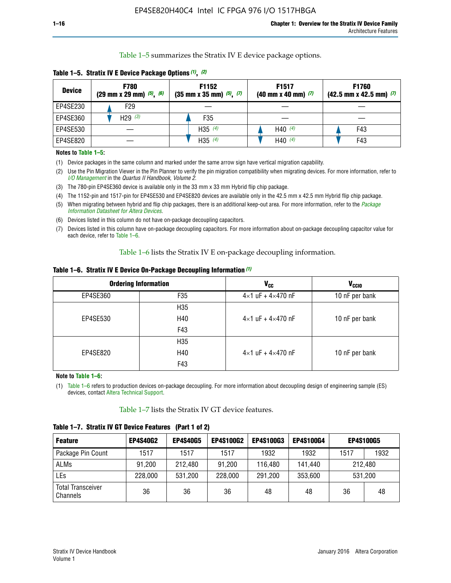Table 1–5 summarizes the Stratix IV E device package options.

| <b>Device</b> | <b>F780</b><br>$(29 \text{ mm} \times 29 \text{ mm})$ $(5)$ , $(6)$ | F1152<br>$(35 \text{ mm} \times 35 \text{ mm})$ $(5)$ $(7)$ | F <sub>1517</sub><br>$(40 \text{ mm} \times 40 \text{ mm})$ (7) | <b>F1760</b><br>$(42.5$ mm x 42.5 mm) $(7)$ |
|---------------|---------------------------------------------------------------------|-------------------------------------------------------------|-----------------------------------------------------------------|---------------------------------------------|
| EP4SE230      | F <sub>29</sub>                                                     |                                                             |                                                                 |                                             |
| EP4SE360      | H29 $(3)$                                                           | F35                                                         |                                                                 |                                             |
| EP4SE530      |                                                                     | H35 $(4)$                                                   | H40 $(4)$                                                       | F43                                         |
| EP4SE820      |                                                                     | H35 $(4)$                                                   | H40 $(4)$                                                       | F43                                         |

**Table 1–5. Stratix IV E Device Package Options** *(1)***,** *(2)*

#### **Notes to Table 1–5:**

(1) Device packages in the same column and marked under the same arrow sign have vertical migration capability.

(2) Use the Pin Migration Viewer in the Pin Planner to verify the pin migration compatibility when migrating devices. For more information, refer to *[I/O Management](http://www.altera.com/literature/hb/qts/qts_qii52013.pdf)* in the *Quartus II Handbook, Volume 2*.

(3) The 780-pin EP4SE360 device is available only in the 33 mm x 33 mm Hybrid flip chip package.

(4) The 1152-pin and 1517-pin for EP4SE530 and EP4SE820 devices are available only in the 42.5 mm x 42.5 mm Hybrid flip chip package.

(5) When migrating between hybrid and flip chip packages, there is an additional keep-out area. For more information, refer to the *[Package](http://www.altera.com/literature/ds/dspkg.pdf)  [Information Datasheet for Altera Devices](http://www.altera.com/literature/ds/dspkg.pdf)*.

(6) Devices listed in this column do not have on-package decoupling capacitors.

(7) Devices listed in this column have on-package decoupling capacitors. For more information about on-package decoupling capacitor value for each device, refer to Table 1–6.

Table 1–6 lists the Stratix IV E on-package decoupling information.

| Table 1–6. Stratix IV E Device On-Package Decoupling Information (1) |  |  |  |  |  |
|----------------------------------------------------------------------|--|--|--|--|--|
|----------------------------------------------------------------------|--|--|--|--|--|

|          | <b>Ordering Information</b> | <b>V<sub>cc</sub></b>               | <b>V<sub>CCIO</sub></b> |
|----------|-----------------------------|-------------------------------------|-------------------------|
| EP4SE360 | F35                         | $4 \times 1$ uF + $4 \times 470$ nF | 10 nF per bank          |
|          | H <sub>35</sub>             |                                     |                         |
| EP4SE530 | H40                         | $4 \times 1$ uF + $4 \times 470$ nF | 10 nF per bank          |
|          | F43                         |                                     |                         |
|          | H <sub>35</sub>             |                                     |                         |
| EP4SE820 | H40                         | $4 \times 1$ uF + $4 \times 470$ nF | 10 nF per bank          |
|          | F43                         |                                     |                         |

**Note to Table 1–6:**

(1) Table 1–6 refers to production devices on-package decoupling. For more information about decoupling design of engineering sample (ES) devices, contact [Altera Technical Support](http://mysupport.altera.com/eservice/login.asp).

Table 1–7 lists the Stratix IV GT device features.

| <b>Feature</b>                       | <b>EP4S40G2</b> | <b>EP4S40G5</b> | <b>EP4S100G2</b> | <b>EP4S100G3</b> | <b>EP4S100G4</b> | <b>EP4S100G5</b> |         |
|--------------------------------------|-----------------|-----------------|------------------|------------------|------------------|------------------|---------|
| Package Pin Count                    | 1517            | 1517            | 1517             | 1932             | 1932             | 1517             | 1932    |
| <b>ALMs</b>                          | 91,200          | 212,480         | 91,200           | 116,480          | 141,440          | 212.480          |         |
| LEs                                  | 228,000         | 531,200         | 228,000          | 291,200          | 353,600          |                  | 531,200 |
| <b>Total Transceiver</b><br>Channels | 36              | 36              | 36               | 48               | 48               | 36               | 48      |

**Table 1–7. Stratix IV GT Device Features (Part 1 of 2)**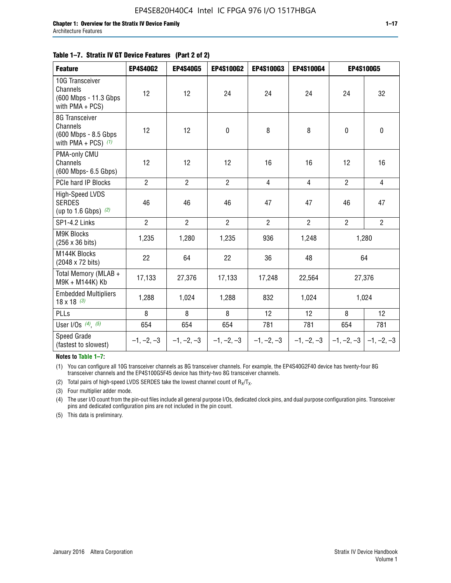#### **Table 1–7. Stratix IV GT Device Features (Part 2 of 2)**

| <b>Feature</b>                                                              | <b>EP4S40G2</b> | <b>EP4S40G5</b> | <b>EP4S100G2</b> | <b>EP4S100G3</b> | <b>EP4S100G4</b> |                           | <b>EP4S100G5</b> |
|-----------------------------------------------------------------------------|-----------------|-----------------|------------------|------------------|------------------|---------------------------|------------------|
| 10G Transceiver<br>Channels<br>(600 Mbps - 11.3 Gbps)<br>with $PMA + PCS$ ) | 12              | 12              | 24               | 24               | 24               | 24                        | 32               |
| 8G Transceiver<br>Channels<br>(600 Mbps - 8.5 Gbps<br>with PMA + PCS) $(1)$ | 12              | 12              | $\mathbf 0$      | 8                | 8                | $\mathbf 0$               | $\mathbf 0$      |
| PMA-only CMU<br>Channels<br>(600 Mbps- 6.5 Gbps)                            | 12              | 12              | 12               | 16               | 16               | 12                        | 16               |
| PCIe hard IP Blocks                                                         | $\overline{2}$  | $\overline{2}$  | $2^{\circ}$      | $\overline{4}$   | $\overline{4}$   | $\overline{2}$            | $\overline{4}$   |
| <b>High-Speed LVDS</b><br><b>SERDES</b><br>(up to 1.6 Gbps) $(2)$           | 46              | 46              | 46               | 47               | 47               | 46                        | 47               |
| SP1-4.2 Links                                                               | $\overline{2}$  | $\overline{2}$  | $\overline{2}$   | $\overline{2}$   | $\overline{2}$   | $\overline{2}$            | $\overline{2}$   |
| <b>M9K Blocks</b><br>(256 x 36 bits)                                        | 1,235           | 1,280           | 1,235            | 936              | 1,248            |                           | 1,280            |
| M144K Blocks<br>(2048 x 72 bits)                                            | 22              | 64              | 22               | 36               | 48               |                           | 64               |
| Total Memory (MLAB +<br>M9K + M144K) Kb                                     | 17,133          | 27,376          | 17,133           | 17,248           | 22,564           |                           | 27,376           |
| <b>Embedded Multipliers</b><br>$18 \times 18^{(3)}$                         | 1,288           | 1,024           | 1,288            | 832              | 1,024            |                           | 1,024            |
| PLLs                                                                        | 8               | 8               | 8                | 12               | 12               | 8                         | 12               |
| User I/Os $(4)$ , $(5)$                                                     | 654             | 654             | 654              | 781              | 781              | 654                       | 781              |
| Speed Grade<br>(fastest to slowest)                                         | $-1, -2, -3$    | $-1, -2, -3$    | $-1, -2, -3$     | $-1, -2, -3$     | $-1, -2, -3$     | $-1, -2, -3$ $-1, -2, -3$ |                  |

**Notes to Table 1–7:**

(1) You can configure all 10G transceiver channels as 8G transceiver channels. For example, the EP4S40G2F40 device has twenty-four 8G transceiver channels and the EP4S100G5F45 device has thirty-two 8G transceiver channels.

(2) Total pairs of high-speed LVDS SERDES take the lowest channel count of  $R_X/T_X$ .

(3) Four multiplier adder mode.

(4) The user I/O count from the pin-out files include all general purpose I/Os, dedicated clock pins, and dual purpose configuration pins. Transceiver pins and dedicated configuration pins are not included in the pin count.

(5) This data is preliminary.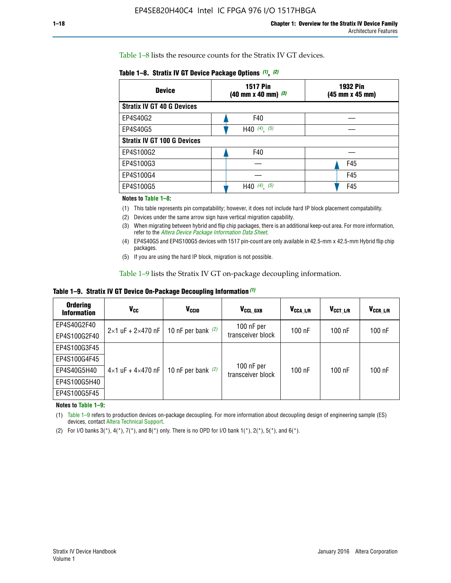Table 1–8 lists the resource counts for the Stratix IV GT devices.

| <b>Device</b>                      | <b>1517 Pin</b><br><b>1932 Pin</b><br>$(40 \text{ mm} \times 40 \text{ mm})$ (3)<br>(45 mm x 45 mm) |     |  |
|------------------------------------|-----------------------------------------------------------------------------------------------------|-----|--|
| <b>Stratix IV GT 40 G Devices</b>  |                                                                                                     |     |  |
| EP4S40G2                           | F40                                                                                                 |     |  |
| EP4S40G5                           | H40 $(4)$ , $(5)$                                                                                   |     |  |
| <b>Stratix IV GT 100 G Devices</b> |                                                                                                     |     |  |
| EP4S100G2                          | F40                                                                                                 |     |  |
| EP4S100G3                          |                                                                                                     | F45 |  |
| EP4S100G4                          |                                                                                                     | F45 |  |
| EP4S100G5                          | H40 $(4)$ $(5)$                                                                                     | F45 |  |

#### **Notes to Table 1–8:**

(1) This table represents pin compatability; however, it does not include hard IP block placement compatability.

- (2) Devices under the same arrow sign have vertical migration capability.
- (3) When migrating between hybrid and flip chip packages, there is an additional keep-out area. For more information, refer to the *[Altera Device Package Information Data Sheet](http://www.altera.com/literature/ds/dspkg.pdf)*.
- (4) EP4S40G5 and EP4S100G5 devices with 1517 pin-count are only available in 42.5-mm x 42.5-mm Hybrid flip chip packages.
- (5) If you are using the hard IP block, migration is not possible.

Table 1–9 lists the Stratix IV GT on-package decoupling information.

**Table 1–9. Stratix IV GT Device On-Package Decoupling Information** *(1)*

| <b>Ordering</b><br><b>Information</b> | Vcc                                 | <b>V<sub>CCIO</sub></b> | V <sub>CCL GXB</sub>            | V <sub>CCA L/R</sub> | V <sub>CCT L/R</sub> | V <sub>CCR L/R</sub> |
|---------------------------------------|-------------------------------------|-------------------------|---------------------------------|----------------------|----------------------|----------------------|
| EP4S40G2F40                           | $2 \times 1$ uF + $2 \times 470$ nF | 10 nF per bank $(2)$    | 100 nF per<br>transceiver block | 100 nF               | $100$ nF             | $100$ nF             |
| EP4S100G2F40                          |                                     |                         |                                 |                      |                      |                      |
| EP4S100G3F45                          |                                     | 10 nF per bank $(2)$    | 100 nF per<br>transceiver block | 100 nF               | $100$ nF             | $100$ nF             |
| EP4S100G4F45                          |                                     |                         |                                 |                      |                      |                      |
| EP4S40G5H40                           | $4 \times 1$ uF + $4 \times 470$ nF |                         |                                 |                      |                      |                      |
| EP4S100G5H40                          |                                     |                         |                                 |                      |                      |                      |
| EP4S100G5F45                          |                                     |                         |                                 |                      |                      |                      |

**Notes to Table 1–9:**

(1) Table 1–9 refers to production devices on-package decoupling. For more information about decoupling design of engineering sample (ES) devices, contact [Altera Technical Support](http://mysupport.altera.com/eservice/login.asp).

(2) For I/O banks  $3(*)$ ,  $4(*)$ ,  $7(*)$ , and  $8(*)$  only. There is no OPD for I/O bank  $1(*)$ ,  $2(*)$ ,  $5(*)$ , and  $6(*)$ .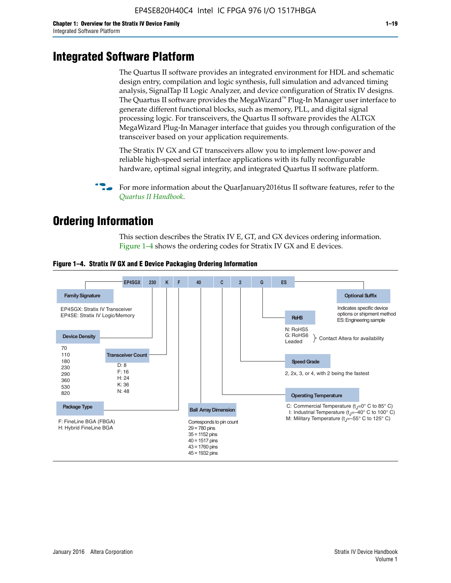# **Integrated Software Platform**

The Quartus II software provides an integrated environment for HDL and schematic design entry, compilation and logic synthesis, full simulation and advanced timing analysis, SignalTap II Logic Analyzer, and device configuration of Stratix IV designs. The Quartus II software provides the MegaWizard<sup> $M$ </sup> Plug-In Manager user interface to generate different functional blocks, such as memory, PLL, and digital signal processing logic. For transceivers, the Quartus II software provides the ALTGX MegaWizard Plug-In Manager interface that guides you through configuration of the transceiver based on your application requirements.

The Stratix IV GX and GT transceivers allow you to implement low-power and reliable high-speed serial interface applications with its fully reconfigurable hardware, optimal signal integrity, and integrated Quartus II software platform.

For more information about the QuarJanuary2016tus II software features, refer to the *[Quartus II Handbook](http://www.altera.com/literature/lit-qts.jsp)*.

# **Ordering Information**

This section describes the Stratix IV E, GT, and GX devices ordering information. Figure 1–4 shows the ordering codes for Stratix IV GX and E devices.



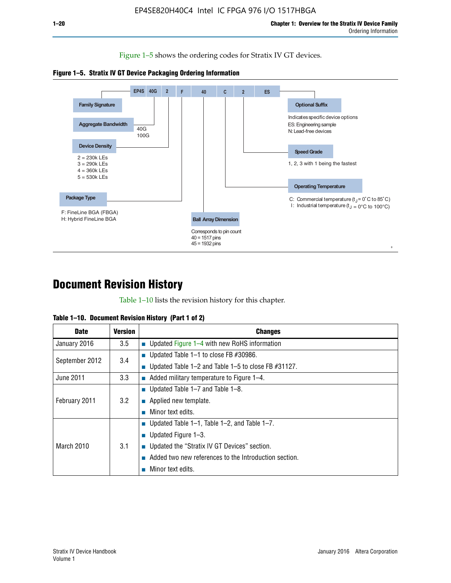Figure 1–5 shows the ordering codes for Stratix IV GT devices.





# **Document Revision History**

Table 1–10 lists the revision history for this chapter.

| Table 1–10. Document Revision History (Part 1 of 2) |  |  |  |  |  |
|-----------------------------------------------------|--|--|--|--|--|
|-----------------------------------------------------|--|--|--|--|--|

| <b>Date</b>       | <b>Version</b> | <b>Changes</b>                                           |
|-------------------|----------------|----------------------------------------------------------|
| January 2016      | 3.5            | ■ Updated Figure $1-4$ with new RoHS information         |
| September 2012    | 3.4            | ■ Updated Table 1–1 to close FB $#30986$ .               |
|                   |                | ■ Updated Table 1–2 and Table 1–5 to close FB $#31127$ . |
| June 2011         | 3.3            | $\blacksquare$ Added military temperature to Figure 1–4. |
| February 2011     | 3.2            | ■ Updated Table $1-7$ and Table $1-8$ .                  |
|                   |                | $\blacksquare$ Applied new template.                     |
|                   |                | Minor text edits.                                        |
| <b>March 2010</b> |                | ■ Updated Table 1–1, Table 1–2, and Table 1–7.           |
|                   | 3.1            | ■ Updated Figure $1-3$ .                                 |
|                   |                | ■ Updated the "Stratix IV GT Devices" section.           |
|                   |                | Added two new references to the Introduction section.    |
|                   |                | Minor text edits.                                        |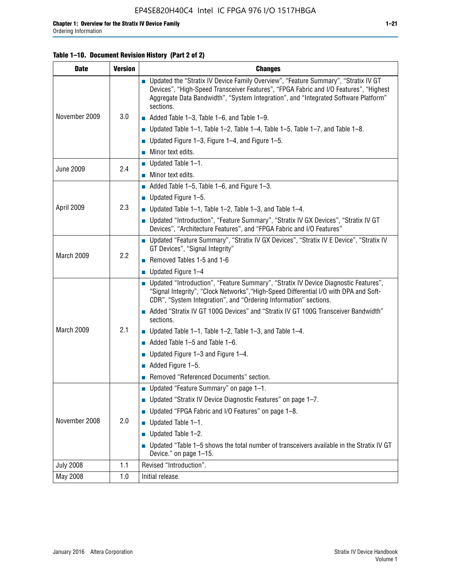#### **Table 1–10. Document Revision History (Part 2 of 2)**

| <b>Date</b>      | <b>Version</b> | <b>Changes</b>                                                                                                                                                                                                                                                                    |  |  |
|------------------|----------------|-----------------------------------------------------------------------------------------------------------------------------------------------------------------------------------------------------------------------------------------------------------------------------------|--|--|
|                  |                | ■ Updated the "Stratix IV Device Family Overview", "Feature Summary", "Stratix IV GT<br>Devices", "High-Speed Transceiver Features", "FPGA Fabric and I/O Features", "Highest<br>Aggregate Data Bandwidth", "System Integration", and "Integrated Software Platform"<br>sections. |  |  |
| November 2009    | 3.0            | $\blacksquare$ Added Table 1-3, Table 1-6, and Table 1-9.                                                                                                                                                                                                                         |  |  |
|                  |                | $\blacksquare$ Updated Table 1-1, Table 1-2, Table 1-4, Table 1-5, Table 1-7, and Table 1-8.                                                                                                                                                                                      |  |  |
|                  |                | ■ Updated Figure 1–3, Figure 1–4, and Figure 1–5.                                                                                                                                                                                                                                 |  |  |
|                  |                | $\blacksquare$ Minor text edits.                                                                                                                                                                                                                                                  |  |  |
| <b>June 2009</b> | 2.4            | $\blacksquare$ Updated Table 1-1.                                                                                                                                                                                                                                                 |  |  |
|                  |                | Minor text edits.                                                                                                                                                                                                                                                                 |  |  |
|                  |                | $\blacksquare$ Added Table 1–5, Table 1–6, and Figure 1–3.                                                                                                                                                                                                                        |  |  |
|                  |                | $\blacksquare$ Updated Figure 1-5.                                                                                                                                                                                                                                                |  |  |
| April 2009       | 2.3            | Updated Table $1-1$ , Table $1-2$ , Table $1-3$ , and Table $1-4$ .                                                                                                                                                                                                               |  |  |
|                  |                | ■ Updated "Introduction", "Feature Summary", "Stratix IV GX Devices", "Stratix IV GT<br>Devices", "Architecture Features", and "FPGA Fabric and I/O Features"                                                                                                                     |  |  |
|                  | 2.2            | ■ Updated "Feature Summary", "Stratix IV GX Devices", "Stratix IV E Device", "Stratix IV<br>GT Devices", "Signal Integrity"                                                                                                                                                       |  |  |
| March 2009       |                | Removed Tables 1-5 and 1-6                                                                                                                                                                                                                                                        |  |  |
|                  |                | Updated Figure 1-4                                                                                                                                                                                                                                                                |  |  |
|                  |                | ■ Updated "Introduction", "Feature Summary", "Stratix IV Device Diagnostic Features",<br>"Signal Integrity", "Clock Networks", "High-Speed Differential I/O with DPA and Soft-<br>CDR", "System Integration", and "Ordering Information" sections.                                |  |  |
|                  |                | Added "Stratix IV GT 100G Devices" and "Stratix IV GT 100G Transceiver Bandwidth"<br>sections.                                                                                                                                                                                    |  |  |
| March 2009       | 2.1            | <b>Updated Table 1–1, Table 1–2, Table 1–3, and Table 1–4.</b>                                                                                                                                                                                                                    |  |  |
|                  |                | $\blacksquare$ Added Table 1-5 and Table 1-6.                                                                                                                                                                                                                                     |  |  |
|                  |                | ■ Updated Figure $1-3$ and Figure $1-4$ .                                                                                                                                                                                                                                         |  |  |
|                  |                | $\blacksquare$ Added Figure 1-5.                                                                                                                                                                                                                                                  |  |  |
|                  |                | Removed "Referenced Documents" section.                                                                                                                                                                                                                                           |  |  |
|                  | 2.0            | Updated "Feature Summary" on page 1-1.                                                                                                                                                                                                                                            |  |  |
|                  |                | ■ Updated "Stratix IV Device Diagnostic Features" on page 1-7.                                                                                                                                                                                                                    |  |  |
| November 2008    |                | Updated "FPGA Fabric and I/O Features" on page 1-8.                                                                                                                                                                                                                               |  |  |
|                  |                | $\blacksquare$ Updated Table 1-1.                                                                                                                                                                                                                                                 |  |  |
|                  |                | Updated Table 1-2.                                                                                                                                                                                                                                                                |  |  |
|                  |                | Updated "Table 1-5 shows the total number of transceivers available in the Stratix IV GT<br>Device." on page 1-15.                                                                                                                                                                |  |  |
| <b>July 2008</b> | 1.1            | Revised "Introduction".                                                                                                                                                                                                                                                           |  |  |
| May 2008         | 1.0            | Initial release.                                                                                                                                                                                                                                                                  |  |  |